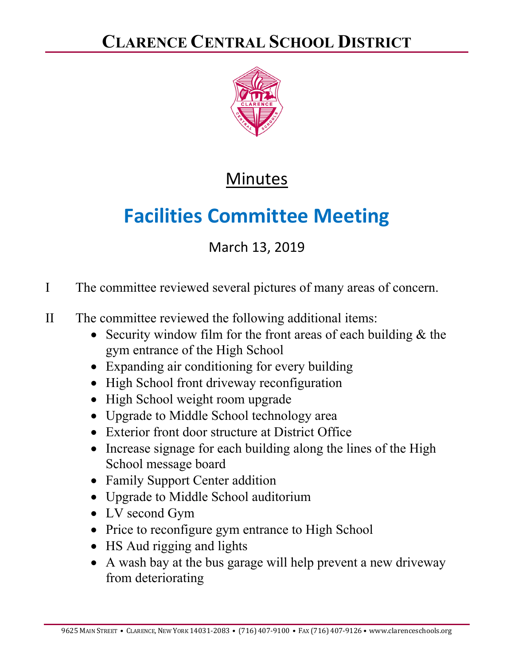

## Minutes

## **Facilities Committee Meeting**

## March 13, 2019

- I The committee reviewed several pictures of many areas of concern.
- II The committee reviewed the following additional items:
	- Security window film for the front areas of each building  $&$  the gym entrance of the High School
	- Expanding air conditioning for every building
	- High School front driveway reconfiguration
	- High School weight room upgrade
	- Upgrade to Middle School technology area
	- Exterior front door structure at District Office
	- Increase signage for each building along the lines of the High School message board
	- Family Support Center addition
	- Upgrade to Middle School auditorium
	- LV second Gym
	- Price to reconfigure gym entrance to High School
	- HS Aud rigging and lights
	- A wash bay at the bus garage will help prevent a new driveway from deteriorating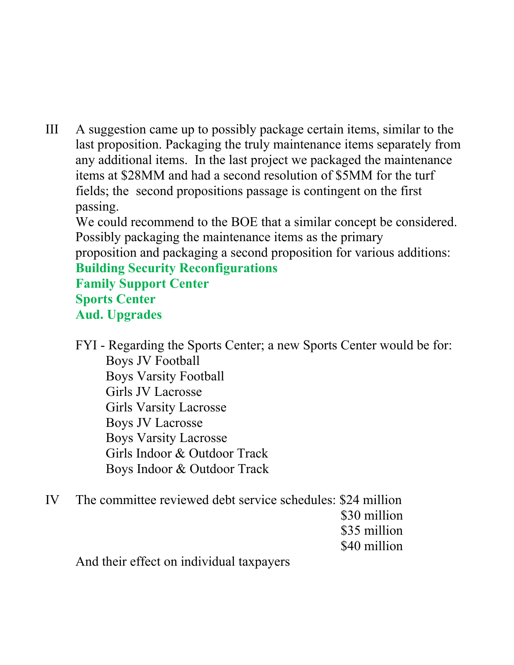III A suggestion came up to possibly package certain items, similar to the last proposition. Packaging the truly maintenance items separately from any additional items. In the last project we packaged the maintenance items at \$28MM and had a second resolution of \$5MM for the turf fields; the second propositions passage is contingent on the first passing.

 We could recommend to the BOE that a similar concept be considered. Possibly packaging the maintenance items as the primary proposition and packaging a second proposition for various additions:

## **Building Security Reconfigurations Family Support Center Sports Center Aud. Upgrades**

FYI - Regarding the Sports Center; a new Sports Center would be for: Boys JV Football Boys Varsity Football Girls JV Lacrosse Girls Varsity Lacrosse Boys JV Lacrosse Boys Varsity Lacrosse Girls Indoor & Outdoor Track Boys Indoor & Outdoor Track

IV The committee reviewed debt service schedules: \$24 million \$30 million \$35 million \$40 million

And their effect on individual taxpayers